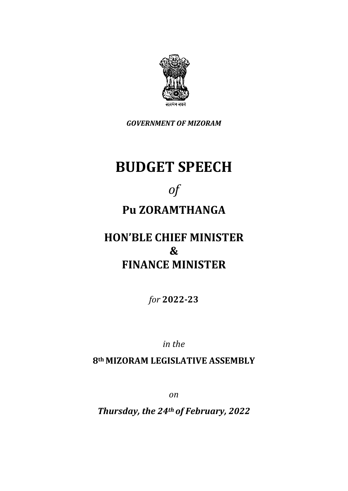

*GOVERNMENT OF MIZORAM*

## **BUDGET SPEECH**

# *of*

## **Pu ZORAMTHANGA**

### **HON'BLE CHIEF MINISTER & FINANCE MINISTER**

*for* **2022-23**

*in the*

**8th MIZORAM LEGISLATIVE ASSEMBLY**

*on*

*Thursday, the 24th of February, 2022*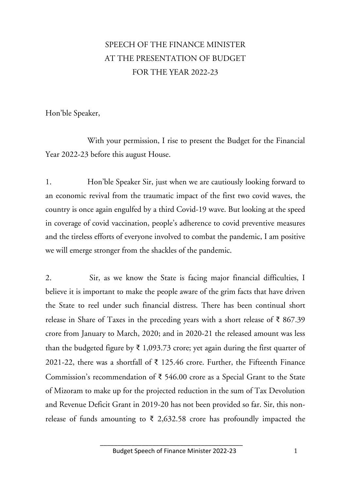### SPEECH OF THE FINANCE MINISTER AT THE PRESENTATION OF BUDGET FOR THE YEAR 2022-23

Hon'ble Speaker,

With your permission, I rise to present the Budget for the Financial Year 2022-23 before this august House.

1. Hon'ble Speaker Sir, just when we are cautiously looking forward to an economic revival from the traumatic impact of the first two covid waves, the country is once again engulfed by a third Covid-19 wave. But looking at the speed in coverage of covid vaccination, people's adherence to covid preventive measures and the tireless efforts of everyone involved to combat the pandemic, I am positive we will emerge stronger from the shackles of the pandemic.

2. Sir, as we know the State is facing major financial difficulties, I believe it is important to make the people aware of the grim facts that have driven the State to reel under such financial distress. There has been continual short release in Share of Taxes in the preceding years with a short release of ₹ 867.39 crore from January to March, 2020; and in 2020-21 the released amount was less than the budgeted figure by  $\bar{\xi}$  1,093.73 crore; yet again during the first quarter of 2021-22, there was a shortfall of ₹ 125.46 crore. Further, the Fifteenth Finance Commission's recommendation of ₹ 546.00 crore as a Special Grant to the State of Mizoram to make up for the projected reduction in the sum of Tax Devolution and Revenue Deficit Grant in 2019-20 has not been provided so far. Sir, this nonrelease of funds amounting to  $\bar{\tau}$  2,632.58 crore has profoundly impacted the

\_\_\_\_\_\_\_\_\_\_\_\_\_\_\_\_\_\_\_\_\_\_\_\_\_\_\_\_\_\_\_\_\_\_\_\_\_\_\_\_\_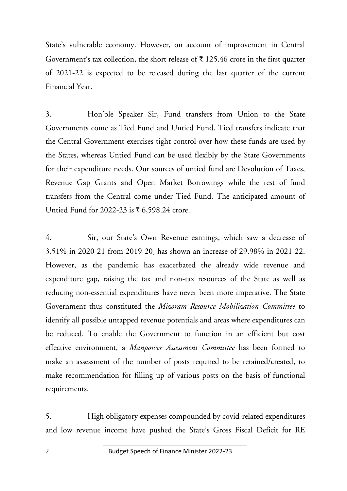State's vulnerable economy. However, on account of improvement in Central Government's tax collection, the short release of  $\bar{\tau}$  125.46 crore in the first quarter of 2021-22 is expected to be released during the last quarter of the current Financial Year.

3. Hon'ble Speaker Sir, Fund transfers from Union to the State Governments come as Tied Fund and Untied Fund. Tied transfers indicate that the Central Government exercises tight control over how these funds are used by the States, whereas Untied Fund can be used flexibly by the State Governments for their expenditure needs. Our sources of untied fund are Devolution of Taxes, Revenue Gap Grants and Open Market Borrowings while the rest of fund transfers from the Central come under Tied Fund. The anticipated amount of Untied Fund for 2022-23 is  $\bar{\tau}$  6,598.24 crore.

4. Sir, our State's Own Revenue earnings, which saw a decrease of 3.51% in 2020-21 from 2019-20, has shown an increase of 29.98% in 2021-22. However, as the pandemic has exacerbated the already wide revenue and expenditure gap, raising the tax and non-tax resources of the State as well as reducing non-essential expenditures have never been more imperative. The State Government thus constituted the *Mizoram Resource Mobilization Committee* to identify all possible untapped revenue potentials and areas where expenditures can be reduced. To enable the Government to function in an efficient but cost effective environment, a *Manpower Assessment Committee* has been formed to make an assessment of the number of posts required to be retained/created, to make recommendation for filling up of various posts on the basis of functional requirements.

5. High obligatory expenses compounded by covid-related expenditures and low revenue income have pushed the State's Gross Fiscal Deficit for RE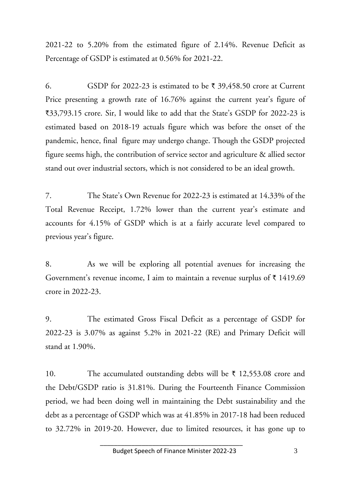2021-22 to 5.20% from the estimated figure of 2.14%. Revenue Deficit as Percentage of GSDP is estimated at 0.56% for 2021-22.

6. GSDP for 2022-23 is estimated to be  $\bar{\tau}$  39,458.50 crore at Current Price presenting a growth rate of 16.76% against the current year's figure of `33,793.15 crore. Sir, I would like to add that the State's GSDP for 2022-23 is estimated based on 2018-19 actuals figure which was before the onset of the pandemic, hence, final figure may undergo change. Though the GSDP projected figure seems high, the contribution of service sector and agriculture & allied sector stand out over industrial sectors, which is not considered to be an ideal growth.

7. The State's Own Revenue for 2022-23 is estimated at 14.33% of the Total Revenue Receipt, 1.72% lower than the current year's estimate and accounts for 4.15% of GSDP which is at a fairly accurate level compared to previous year's figure.

8. As we will be exploring all potential avenues for increasing the Government's revenue income, I aim to maintain a revenue surplus of  $\bar{\tau}$  1419.69 crore in 2022-23.

9. The estimated Gross Fiscal Deficit as a percentage of GSDP for 2022-23 is 3.07% as against 5.2% in 2021-22 (RE) and Primary Deficit will stand at 1.90%.

10. The accumulated outstanding debts will be  $\bar{\tau}$  12,553.08 crore and the Debt/GSDP ratio is 31.81%. During the Fourteenth Finance Commission period, we had been doing well in maintaining the Debt sustainability and the debt as a percentage of GSDP which was at 41.85% in 2017-18 had been reduced to 32.72% in 2019-20. However, due to limited resources, it has gone up to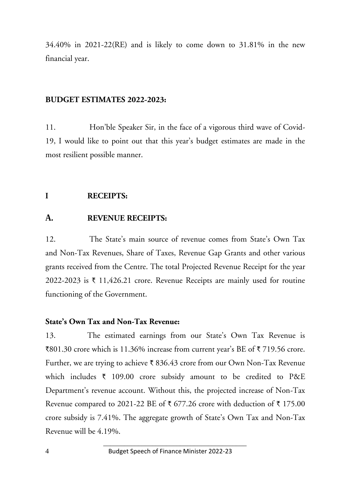34.40% in 2021-22(RE) and is likely to come down to 31.81% in the new financial year.

#### **BUDGET ESTIMATES 2022-2023:**

11. Hon'ble Speaker Sir, in the face of a vigorous third wave of Covid-19, I would like to point out that this year's budget estimates are made in the most resilient possible manner.

#### **I RECEIPTS:**

#### **A. REVENUE RECEIPTS:**

12. The State's main source of revenue comes from State's Own Tax and Non-Tax Revenues, Share of Taxes, Revenue Gap Grants and other various grants received from the Centre. The total Projected Revenue Receipt for the year 2022-2023 is  $\bar{\tau}$  11,426.21 crore. Revenue Receipts are mainly used for routine functioning of the Government.

#### **State's Own Tax and Non-Tax Revenue:**

13. The estimated earnings from our State's Own Tax Revenue is  $\text{\textsterling}801.30$  crore which is 11.36% increase from current year's BE of  $\text{\textsterling}719.56$  crore. Further, we are trying to achieve  $\bar{\tau}$  836.43 crore from our Own Non-Tax Revenue which includes  $\bar{\tau}$  109.00 crore subsidy amount to be credited to P&E Department's revenue account. Without this, the projected increase of Non-Tax Revenue compared to 2021-22 BE of  $\bar{\tau}$  677.26 crore with deduction of  $\bar{\tau}$  175.00 crore subsidy is 7.41%. The aggregate growth of State's Own Tax and Non-Tax Revenue will be 4.19%.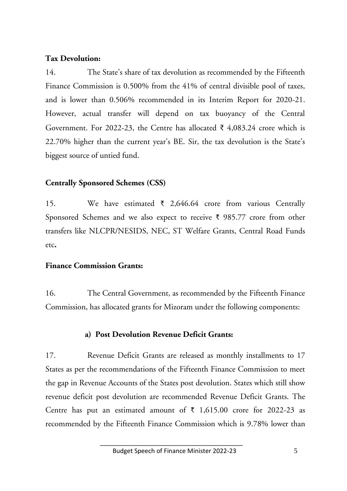#### **Tax Devolution:**

14. The State's share of tax devolution as recommended by the Fifteenth Finance Commission is 0.500% from the 41% of central divisible pool of taxes, and is lower than 0.506% recommended in its Interim Report for 2020-21. However, actual transfer will depend on tax buoyancy of the Central Government. For 2022-23, the Centre has allocated  $\bar{\xi}$  4,083.24 crore which is 22.70% higher than the current year's BE. Sir, the tax devolution is the State's biggest source of untied fund.

#### **Centrally Sponsored Schemes (CSS)**

15. We have estimated  $\bar{\tau}$  2,646.64 crore from various Centrally Sponsored Schemes and we also expect to receive  $\bar{\tau}$  985.77 crore from other transfers like NLCPR/NESIDS, NEC, ST Welfare Grants, Central Road Funds etc**.**

#### **Finance Commission Grants:**

16. The Central Government, as recommended by the Fifteenth Finance Commission, has allocated grants for Mizoram under the following components:

#### **a) Post Devolution Revenue Deficit Grants:**

17. Revenue Deficit Grants are released as monthly installments to 17 States as per the recommendations of the Fifteenth Finance Commission to meet the gap in Revenue Accounts of the States post devolution. States which still show revenue deficit post devolution are recommended Revenue Deficit Grants. The Centre has put an estimated amount of  $\bar{\tau}$  1,615.00 crore for 2022-23 as recommended by the Fifteenth Finance Commission which is 9.78% lower than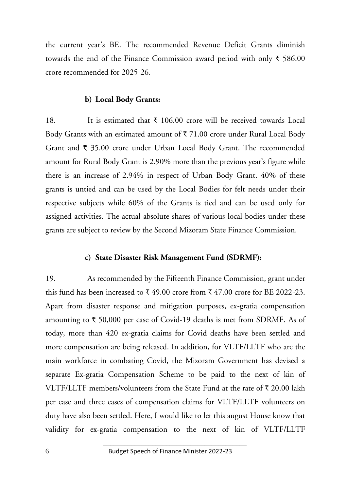the current year's BE. The recommended Revenue Deficit Grants diminish towards the end of the Finance Commission award period with only  $\bar{\tau}$  586.00 crore recommended for 2025-26.

#### **b) Local Body Grants:**

18. It is estimated that  $\bar{\tau}$  106.00 crore will be received towards Local Body Grants with an estimated amount of  $\bar{\tau}$  71.00 crore under Rural Local Body Grant and  $\bar{\tau}$  35.00 crore under Urban Local Body Grant. The recommended amount for Rural Body Grant is 2.90% more than the previous year's figure while there is an increase of 2.94% in respect of Urban Body Grant. 40% of these grants is untied and can be used by the Local Bodies for felt needs under their respective subjects while 60% of the Grants is tied and can be used only for assigned activities. The actual absolute shares of various local bodies under these grants are subject to review by the Second Mizoram State Finance Commission.

#### **c) State Disaster Risk Management Fund (SDRMF):**

19. As recommended by the Fifteenth Finance Commission, grant under this fund has been increased to  $\bar{\xi}$  49.00 crore from  $\bar{\xi}$  47.00 crore for BE 2022-23. Apart from disaster response and mitigation purposes, ex-gratia compensation amounting to  $\bar{\tau}$  50,000 per case of Covid-19 deaths is met from SDRMF. As of today, more than 420 ex-gratia claims for Covid deaths have been settled and more compensation are being released. In addition, for VLTF/LLTF who are the main workforce in combating Covid, the Mizoram Government has devised a separate Ex-gratia Compensation Scheme to be paid to the next of kin of VLTF/LLTF members/volunteers from the State Fund at the rate of  $\bar{\tau}$  20.00 lakh per case and three cases of compensation claims for VLTF/LLTF volunteers on duty have also been settled. Here, I would like to let this august House know that validity for ex-gratia compensation to the next of kin of VLTF/LLTF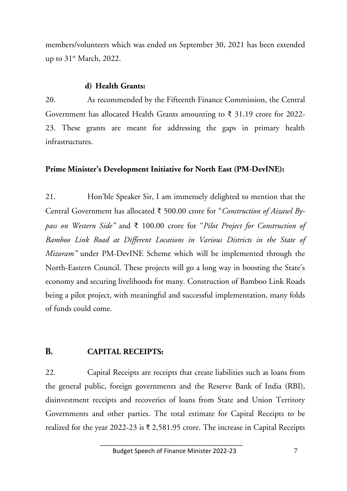members/volunteers which was ended on September 30, 2021 has been extended up to  $31^{\text{st}}$  March, 2022.

#### **d) Health Grants:**

20. As recommended by the Fifteenth Finance Commission, the Central Government has allocated Health Grants amounting to ₹ 31.19 crore for 2022-23. These grants are meant for addressing the gaps in primary health infrastructures.

#### **Prime Minister's Development Initiative for North East (PM-DevINE):**

21. Hon'ble Speaker Sir, I am immensely delighted to mention that the Central Government has allocated ₹ 500.00 crore for "*Construction of Aizawl Bypass on Western Side"* and ₹ 100.00 crore for "*Pilot Project for Construction of Bamboo Link Road at Different Locations in Various Districts in the State of Mizoram"* under PM-DevINE Scheme which will be implemented through the North-Eastern Council. These projects will go a long way in boosting the State's economy and securing livelihoods for many. Construction of Bamboo Link Roads being a pilot project, with meaningful and successful implementation, many folds of funds could come.

#### **B. CAPITAL RECEIPTS:**

22. Capital Receipts are receipts that create liabilities such as loans from the general public, foreign governments and the Reserve Bank of India (RBI), disinvestment receipts and recoveries of loans from State and Union Territory Governments and other parties. The total estimate for Capital Receipts to be realized for the year 2022-23 is  $\bar{\tau}$  2,581.95 crore. The increase in Capital Receipts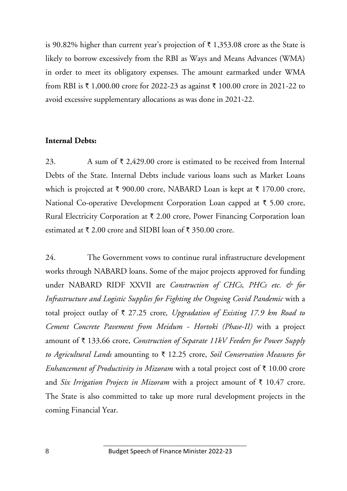is 90.82% higher than current year's projection of  $\bar{\tau}$  1,353.08 crore as the State is likely to borrow excessively from the RBI as Ways and Means Advances (WMA) in order to meet its obligatory expenses. The amount earmarked under WMA from RBI is  $\bar{\tau}$  1,000.00 crore for 2022-23 as against  $\bar{\tau}$  100.00 crore in 2021-22 to avoid excessive supplementary allocations as was done in 2021-22.

#### **Internal Debts:**

23. A sum of  $\bar{\tau}$  2,429.00 crore is estimated to be received from Internal Debts of the State. Internal Debts include various loans such as Market Loans which is projected at  $\bar{\tau}$  900.00 crore, NABARD Loan is kept at  $\bar{\tau}$  170.00 crore, National Co-operative Development Corporation Loan capped at  $\bar{\tau}$  5.00 crore, Rural Electricity Corporation at  $\bar{\tau}$  2.00 crore, Power Financing Corporation loan estimated at  $\bar{\tau}$  2.00 crore and SIDBI loan of  $\bar{\tau}$  350.00 crore.

24. The Government vows to continue rural infrastructure development works through NABARD loans. Some of the major projects approved for funding under NABARD RIDF XXVII are *Construction of CHCs, PHCs etc. & for Infrastructure and Logistic Supplies for Fighting the Ongoing Covid Pandemic* with a total project outlay of ` 27.25 crore*, Upgradation of Existing 17.9 km Road to Cement Concrete Pavement from Meidum - Hortoki (Phase-II)* with a project amount of ` 133.66 crore, *Construction of Separate 11kV Feeders for Power Supply*  to Agricultural Lands amounting to ₹ 12.25 crore, *Soil Conservation Measures for Enhancement of Productivity in Mizoram* with a total project cost of  $\bar{\tau}$  10.00 crore and *Six Irrigation Projects in Mizoram* with a project amount of  $\bar{\tau}$  10.47 crore. The State is also committed to take up more rural development projects in the coming Financial Year.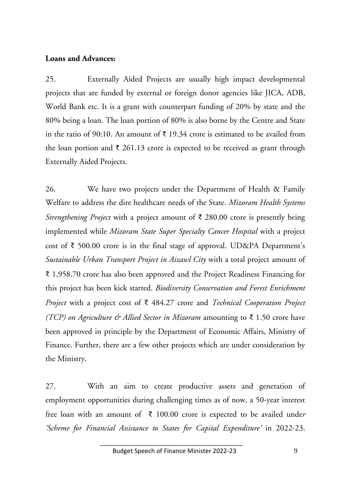#### **Loans and Advances:**

25. Externally Aided Projects are usually high impact developmental projects that are funded by external or foreign donor agencies like JICA, ADB, World Bank etc. It is a grant with counterpart funding of 20% by state and the 80% being a loan. The loan portion of 80% is also borne by the Centre and State in the ratio of 90:10. An amount of  $\bar{\tau}$  19.34 crore is estimated to be availed from the loan portion and  $\bar{\tau}$  261.13 crore is expected to be received as grant through Externally Aided Projects.

26. We have two projects under the Department of Health & Family Welfare to address the dire healthcare needs of the State. *Mizoram Health Systems Strengthening Project* with a project amount of ₹ 280.00 crore is presently being implemented while *Mizoram State Super Specialty Cancer Hospital* with a project cost of ₹ 500.00 crore is in the final stage of approval. UD&PA Department's *Sustainable Urban Transport Project in Aizawl City* with a total project amount of ₹ 1,958.70 crore has also been approved and the Project Readiness Financing for this project has been kick started. *Biodiversity Conservation and Forest Enrichment Project* with a project cost of ₹ 484.27 crore and *Technical Cooperation Project (TCP) on Agriculture & Allied Sector in Mizoram* amounting to ₹ 1.50 crore have been approved in principle by the Department of Economic Affairs, Ministry of Finance. Further, there are a few other projects which are under consideration by the Ministry.

27. With an aim to create productive assets and generation of employment opportunities during challenging times as of now, a 50-year interest free loan with an amount of ₹ 100.00 crore is expected to be availed unde*r 'Scheme for Financial Assistance to States for Capital Expenditure'* in 2022-23.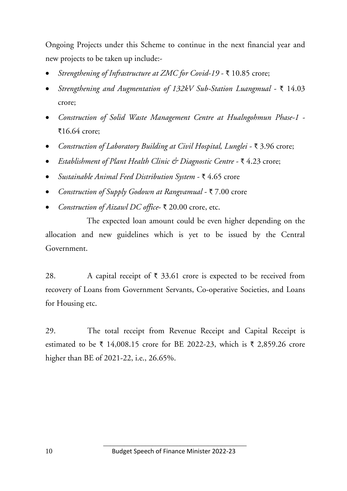Ongoing Projects under this Scheme to continue in the next financial year and new projects to be taken up include:-

- *Strengthening of Infrastructure at ZMC for Covid-19 ₹ 10.85 crore;*
- *Strengthening and Augmentation of 132kV Sub-Station Luangmual* ₹ 14.03 crore;
- *Construction of Solid Waste Management Centre at Hualngohmun Phase-1* `16.64 crore;
- **•** Construction of Laboratory Building at Civil Hospital, Lunglei  $\bar{\tau}$  3.96 crore;
- **■** *Establishment of Plant Health Clinic & Diagnostic Centre* ₹4.23 crore;
- *Sustainable Animal Feed Distribution System ₹ 4.65 crore*
- Construction of Supply Godown at Rangvamual ₹ 7.00 crore
- Construction of Aizawl DC office- ₹ 20.00 crore, etc.

The expected loan amount could be even higher depending on the allocation and new guidelines which is yet to be issued by the Central Government.

28. A capital receipt of  $\bar{\tau}$  33.61 crore is expected to be received from recovery of Loans from Government Servants, Co-operative Societies, and Loans for Housing etc.

29. The total receipt from Revenue Receipt and Capital Receipt is estimated to be  $\bar{\tau}$  14,008.15 crore for BE 2022-23, which is  $\bar{\tau}$  2,859.26 crore higher than BE of 2021-22, i.e., 26.65%.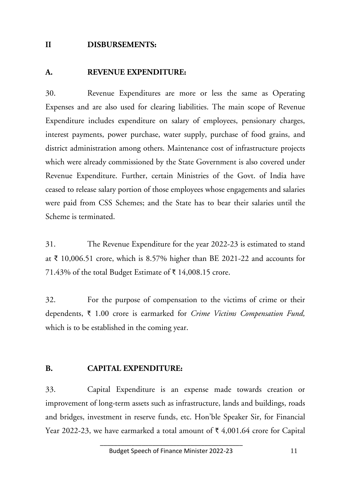#### **II DISBURSEMENTS:**

#### **A. REVENUE EXPENDITURE:**

30. Revenue Expenditures are more or less the same as Operating Expenses and are also used for clearing liabilities. The main scope of Revenue Expenditure includes expenditure on salary of employees, pensionary charges, interest payments, power purchase, water supply, purchase of food grains, and district administration among others. Maintenance cost of infrastructure projects which were already commissioned by the State Government is also covered under Revenue Expenditure. Further, certain Ministries of the Govt. of India have ceased to release salary portion of those employees whose engagements and salaries were paid from CSS Schemes; and the State has to bear their salaries until the Scheme is terminated.

31. The Revenue Expenditure for the year 2022-23 is estimated to stand at ₹ 10,006.51 crore, which is 8.57% higher than BE 2021-22 and accounts for 71.43% of the total Budget Estimate of  $\bar{\tau}$  14,008.15 crore.

32. For the purpose of compensation to the victims of crime or their dependents, ` 1.00 crore is earmarked for *Crime Victims Compensation Fund,* which is to be established in the coming year.

#### **B. CAPITAL EXPENDITURE:**

33. Capital Expenditure is an expense made towards creation or improvement of long-term assets such as infrastructure, lands and buildings, roads and bridges, investment in reserve funds, etc. Hon'ble Speaker Sir, for Financial Year 2022-23, we have earmarked a total amount of  $\bar{\tau}$  4,001.64 crore for Capital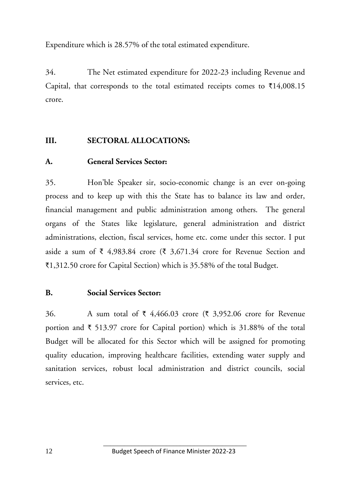Expenditure which is 28.57% of the total estimated expenditure.

34. The Net estimated expenditure for 2022-23 including Revenue and Capital, that corresponds to the total estimated receipts comes to  $\bar{\tau}14,008.15$ crore.

#### **III. SECTORAL ALLOCATIONS:**

#### **A. General Services Sector:**

35. Hon'ble Speaker sir, socio-economic change is an ever on-going process and to keep up with this the State has to balance its law and order, financial management and public administration among others. The general organs of the States like legislature, general administration and district administrations, election, fiscal services, home etc. come under this sector. I put aside a sum of ₹ 4,983.84 crore (₹ 3,671.34 crore for Revenue Section and  $\text{\textsterling}1,312.50$  crore for Capital Section) which is 35.58% of the total Budget.

#### **B. Social Services Sector:**

36. A sum total of  $\bar{\tau}$  4,466.03 crore ( $\bar{\tau}$  3,952.06 crore for Revenue portion and  $\bar{\tau}$  513.97 crore for Capital portion) which is 31.88% of the total Budget will be allocated for this Sector which will be assigned for promoting quality education, improving healthcare facilities, extending water supply and sanitation services, robust local administration and district councils, social services, etc.

 $\overline{\phantom{a}}$  , and the contract of the contract of the contract of the contract of the contract of the contract of the contract of the contract of the contract of the contract of the contract of the contract of the contrac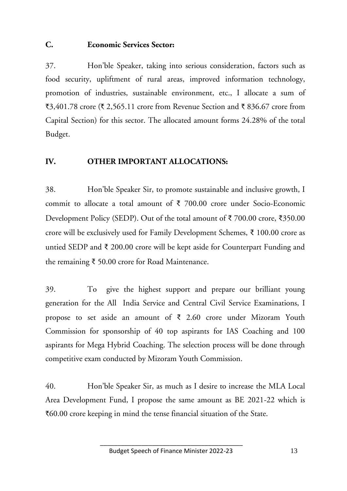#### **C. Economic Services Sector:**

37. Hon'ble Speaker, taking into serious consideration, factors such as food security, upliftment of rural areas, improved information technology, promotion of industries, sustainable environment, etc., I allocate a sum of  $\text{\textsterling}3,401.78$  crore ( $\text{\textsterling}2,565.11$  crore from Revenue Section and  $\text{\textsterling}836.67$  crore from Capital Section) for this sector. The allocated amount forms 24.28% of the total Budget.

#### **IV. OTHER IMPORTANT ALLOCATIONS:**

38. Hon'ble Speaker Sir, to promote sustainable and inclusive growth, I commit to allocate a total amount of ₹ 700.00 crore under Socio-Economic Development Policy (SEDP). Out of the total amount of ₹ 700.00 crore, ₹350.00 crore will be exclusively used for Family Development Schemes, ₹ 100.00 crore as untied SEDP and ₹ 200.00 crore will be kept aside for Counterpart Funding and the remaining ₹ 50.00 crore for Road Maintenance.

39. To give the highest support and prepare our brilliant young generation for the All India Service and Central Civil Service Examinations, I propose to set aside an amount of ₹ 2.60 crore under Mizoram Youth Commission for sponsorship of 40 top aspirants for IAS Coaching and 100 aspirants for Mega Hybrid Coaching. The selection process will be done through competitive exam conducted by Mizoram Youth Commission.

40. Hon'ble Speaker Sir, as much as I desire to increase the MLA Local Area Development Fund, I propose the same amount as BE 2021-22 which is  $\bar{c}60.00$  crore keeping in mind the tense financial situation of the State.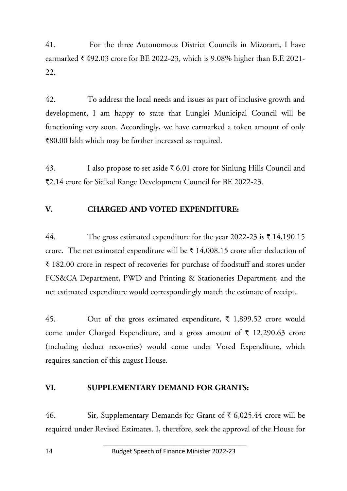41. For the three Autonomous District Councils in Mizoram, I have earmarked  $\bar{\tau}$  492.03 crore for BE 2022-23, which is 9.08% higher than B.E 2021-22.

42. To address the local needs and issues as part of inclusive growth and development, I am happy to state that Lunglei Municipal Council will be functioning very soon. Accordingly, we have earmarked a token amount of only `80.00 lakh which may be further increased as required.

43. I also propose to set aside  $\bar{\tau}$  6.01 crore for Sinlung Hills Council and `2.14 crore for Sialkal Range Development Council for BE 2022-23.

#### **V. CHARGED AND VOTED EXPENDITURE:**

44. The gross estimated expenditure for the year 2022-23 is  $\bar{\tau}$  14,190.15 crore. The net estimated expenditure will be  $\bar{\tau}$  14,008.15 crore after deduction of ` 182.00 crore in respect of recoveries for purchase of foodstuff and stores under FCS&CA Department, PWD and Printing & Stationeries Department, and the net estimated expenditure would correspondingly match the estimate of receipt.

45. Out of the gross estimated expenditure,  $\bar{\tau}$  1,899.52 crore would come under Charged Expenditure, and a gross amount of  $\bar{\tau}$  12,290.63 crore (including deduct recoveries) would come under Voted Expenditure, which requires sanction of this august House.

#### **VI. SUPPLEMENTARY DEMAND FOR GRANTS:**

46. Sir, Supplementary Demands for Grant of  $\bar{\tau}$  6,025.44 crore will be required under Revised Estimates. I, therefore, seek the approval of the House for

 $\overline{\phantom{a}}$  , and the contract of the contract of the contract of the contract of the contract of the contract of the contract of the contract of the contract of the contract of the contract of the contract of the contrac